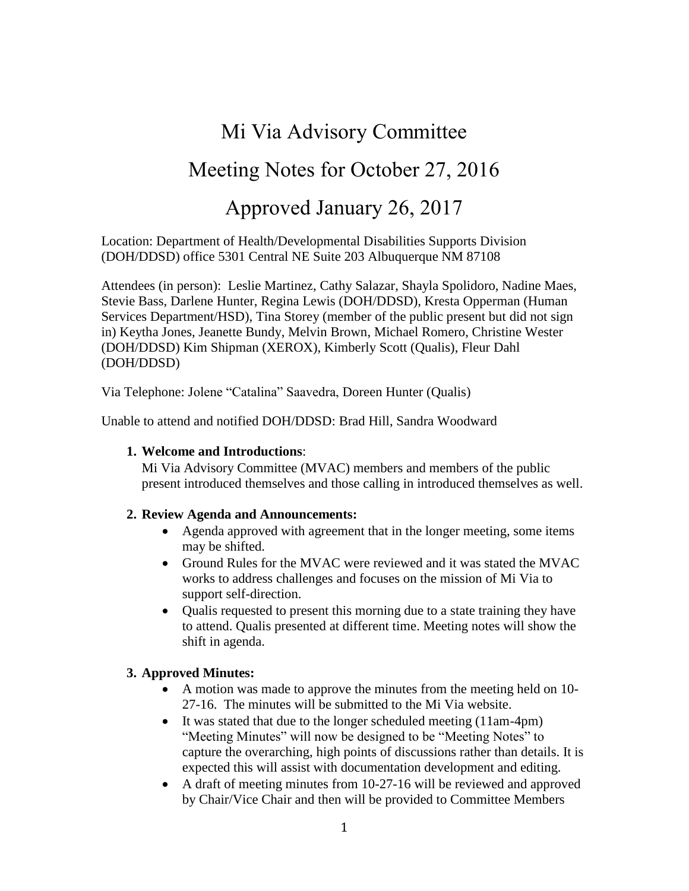# Mi Via Advisory Committee Meeting Notes for October 27, 2016 Approved January 26, 2017

Location: Department of Health/Developmental Disabilities Supports Division (DOH/DDSD) office 5301 Central NE Suite 203 Albuquerque NM 87108

Attendees (in person): Leslie Martinez, Cathy Salazar, Shayla Spolidoro, Nadine Maes, Stevie Bass, Darlene Hunter, Regina Lewis (DOH/DDSD), Kresta Opperman (Human Services Department/HSD), Tina Storey (member of the public present but did not sign in) Keytha Jones, Jeanette Bundy, Melvin Brown, Michael Romero, Christine Wester (DOH/DDSD) Kim Shipman (XEROX), Kimberly Scott (Qualis), Fleur Dahl (DOH/DDSD)

Via Telephone: Jolene "Catalina" Saavedra, Doreen Hunter (Qualis)

Unable to attend and notified DOH/DDSD: Brad Hill, Sandra Woodward

#### **1. Welcome and Introductions**:

Mi Via Advisory Committee (MVAC) members and members of the public present introduced themselves and those calling in introduced themselves as well.

#### **2. Review Agenda and Announcements:**

- Agenda approved with agreement that in the longer meeting, some items may be shifted.
- Ground Rules for the MVAC were reviewed and it was stated the MVAC works to address challenges and focuses on the mission of Mi Via to support self-direction.
- Qualis requested to present this morning due to a state training they have to attend. Qualis presented at different time. Meeting notes will show the shift in agenda.

#### **3. Approved Minutes:**

- A motion was made to approve the minutes from the meeting held on 10- 27-16. The minutes will be submitted to the Mi Via website.
- It was stated that due to the longer scheduled meeting (11am-4pm) "Meeting Minutes" will now be designed to be "Meeting Notes" to capture the overarching, high points of discussions rather than details. It is expected this will assist with documentation development and editing.
- A draft of meeting minutes from 10-27-16 will be reviewed and approved by Chair/Vice Chair and then will be provided to Committee Members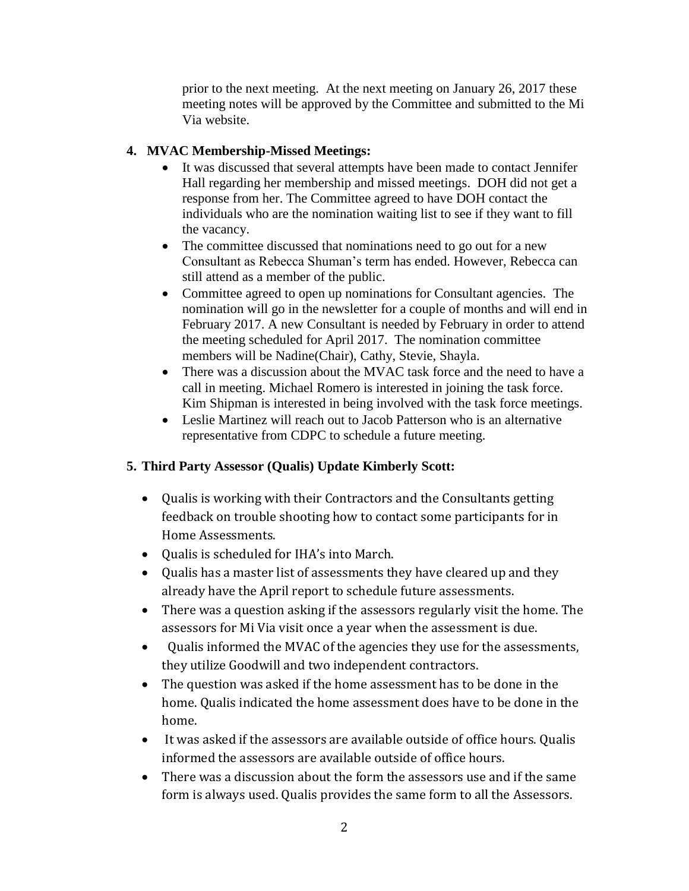prior to the next meeting. At the next meeting on January 26, 2017 these meeting notes will be approved by the Committee and submitted to the Mi Via website.

## **4. MVAC Membership-Missed Meetings:**

- It was discussed that several attempts have been made to contact Jennifer Hall regarding her membership and missed meetings. DOH did not get a response from her. The Committee agreed to have DOH contact the individuals who are the nomination waiting list to see if they want to fill the vacancy.
- The committee discussed that nominations need to go out for a new Consultant as Rebecca Shuman's term has ended. However, Rebecca can still attend as a member of the public.
- Committee agreed to open up nominations for Consultant agencies. The nomination will go in the newsletter for a couple of months and will end in February 2017. A new Consultant is needed by February in order to attend the meeting scheduled for April 2017. The nomination committee members will be Nadine(Chair), Cathy, Stevie, Shayla.
- There was a discussion about the MVAC task force and the need to have a call in meeting. Michael Romero is interested in joining the task force. Kim Shipman is interested in being involved with the task force meetings.
- Leslie Martinez will reach out to Jacob Patterson who is an alternative representative from CDPC to schedule a future meeting.

## **5. Third Party Assessor (Qualis) Update Kimberly Scott:**

- Qualis is working with their Contractors and the Consultants getting feedback on trouble shooting how to contact some participants for in Home Assessments.
- Qualis is scheduled for IHA's into March.
- Qualis has a master list of assessments they have cleared up and they already have the April report to schedule future assessments.
- There was a question asking if the assessors regularly visit the home. The assessors for Mi Via visit once a year when the assessment is due.
- Qualis informed the MVAC of the agencies they use for the assessments, they utilize Goodwill and two independent contractors.
- The question was asked if the home assessment has to be done in the home. Qualis indicated the home assessment does have to be done in the home.
- It was asked if the assessors are available outside of office hours. Qualis informed the assessors are available outside of office hours.
- There was a discussion about the form the assessors use and if the same form is always used. Qualis provides the same form to all the Assessors.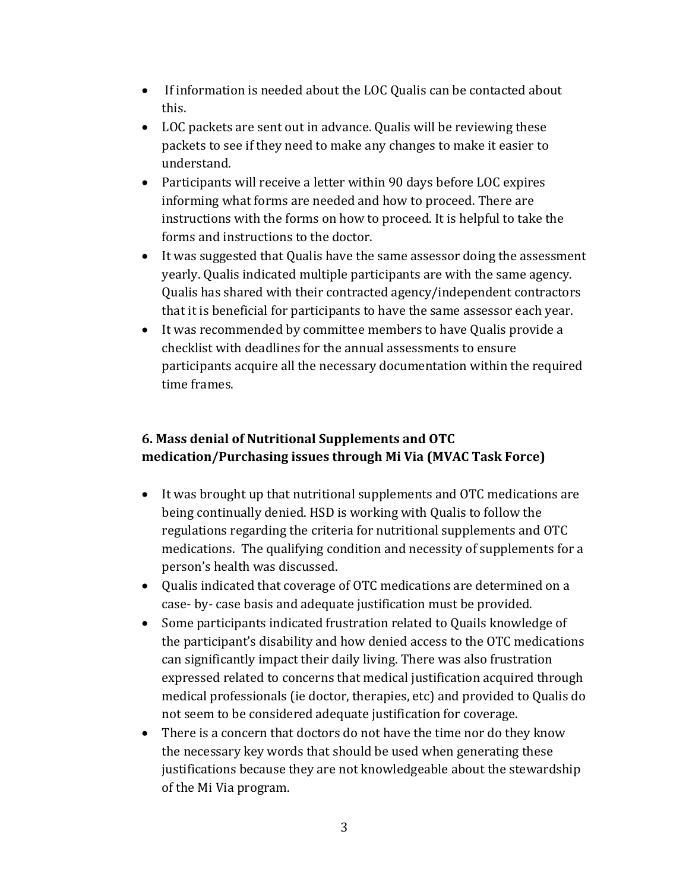- If information is needed about the LOC Qualis can be contacted about this.
- LOC packets are sent out in advance. Qualis will be reviewing these packets to see if they need to make any changes to make it easier to understand.
- Participants will receive a letter within 90 days before LOC expires informing what forms are needed and how to proceed. There are instructions with the forms on how to proceed. It is helpful to take the forms and instructions to the doctor.
- It was suggested that Qualis have the same assessor doing the assessment yearly. Qualis indicated multiple participants are with the same agency. Qualis has shared with their contracted agency/independent contractors that it is beneficial for participants to have the same assessor each year.
- It was recommended by committee members to have Qualis provide a checklist with deadlines for the annual assessments to ensure participants acquire all the necessary documentation within the required time frames.

## **6. Mass denial of Nutritional Supplements and OTC medication/Purchasing issues through Mi Via (MVAC Task Force)**

- It was brought up that nutritional supplements and OTC medications are being continually denied. HSD is working with Qualis to follow the regulations regarding the criteria for nutritional supplements and OTC medications. The qualifying condition and necessity of supplements for a person's health was discussed.
- Qualis indicated that coverage of OTC medications are determined on a case- by- case basis and adequate justification must be provided.
- Some participants indicated frustration related to Quails knowledge of the participant's disability and how denied access to the OTC medications can significantly impact their daily living. There was also frustration expressed related to concerns that medical justification acquired through medical professionals (ie doctor, therapies, etc) and provided to Qualis do not seem to be considered adequate justification for coverage.
- There is a concern that doctors do not have the time nor do they know the necessary key words that should be used when generating these justifications because they are not knowledgeable about the stewardship of the Mi Via program.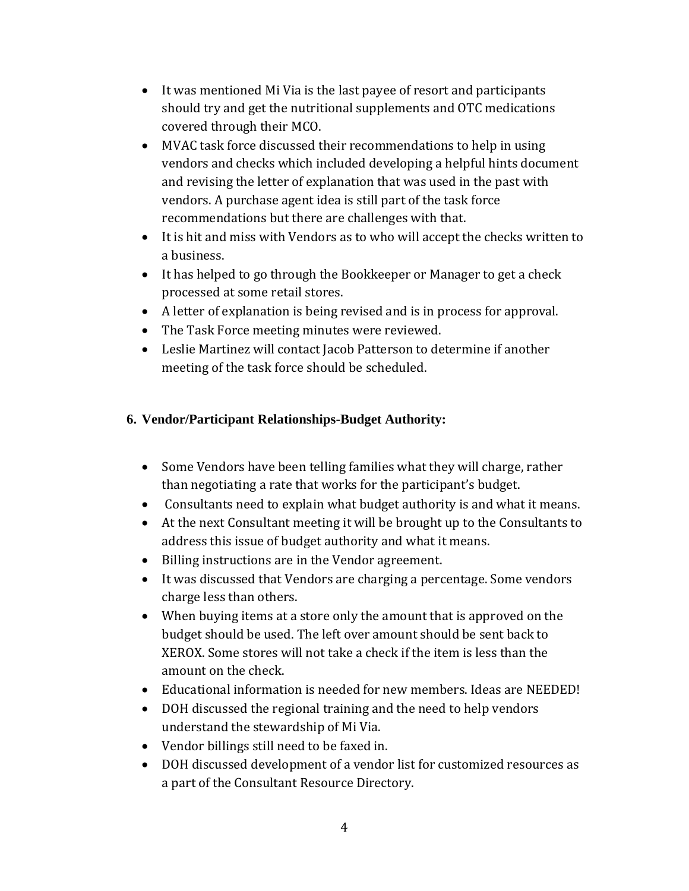- It was mentioned Mi Via is the last payee of resort and participants should try and get the nutritional supplements and OTC medications covered through their MCO.
- MVAC task force discussed their recommendations to help in using vendors and checks which included developing a helpful hints document and revising the letter of explanation that was used in the past with vendors. A purchase agent idea is still part of the task force recommendations but there are challenges with that.
- It is hit and miss with Vendors as to who will accept the checks written to a business.
- It has helped to go through the Bookkeeper or Manager to get a check processed at some retail stores.
- A letter of explanation is being revised and is in process for approval.
- The Task Force meeting minutes were reviewed.
- Leslie Martinez will contact Jacob Patterson to determine if another meeting of the task force should be scheduled.

## **6. Vendor/Participant Relationships-Budget Authority:**

- Some Vendors have been telling families what they will charge, rather than negotiating a rate that works for the participant's budget.
- Consultants need to explain what budget authority is and what it means.
- At the next Consultant meeting it will be brought up to the Consultants to address this issue of budget authority and what it means.
- Billing instructions are in the Vendor agreement.
- It was discussed that Vendors are charging a percentage. Some vendors charge less than others.
- When buying items at a store only the amount that is approved on the budget should be used. The left over amount should be sent back to XEROX. Some stores will not take a check if the item is less than the amount on the check.
- Educational information is needed for new members. Ideas are NEEDED!
- DOH discussed the regional training and the need to help vendors understand the stewardship of Mi Via.
- Vendor billings still need to be faxed in.
- DOH discussed development of a vendor list for customized resources as a part of the Consultant Resource Directory.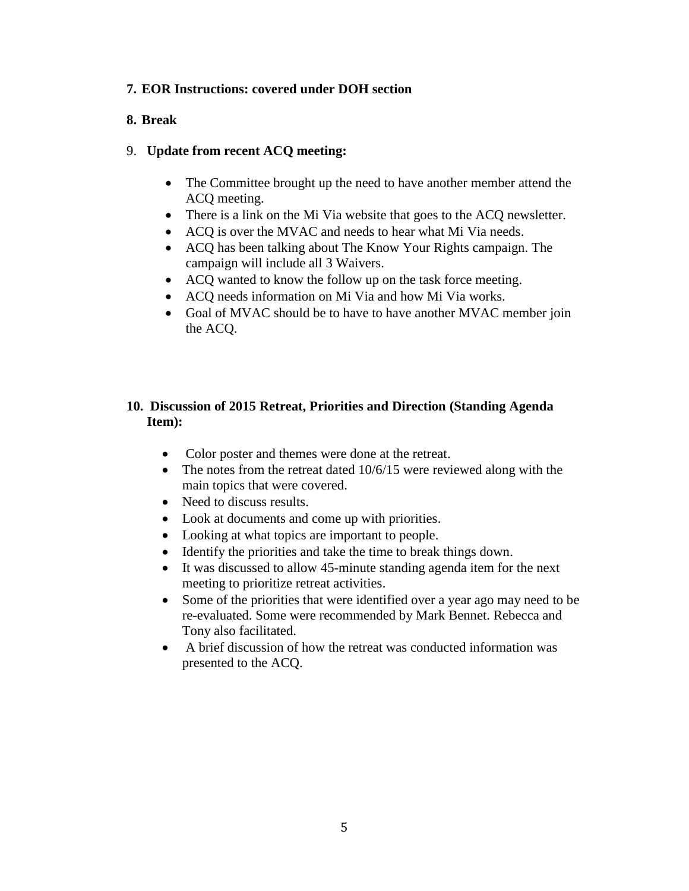#### **7. EOR Instructions: covered under DOH section**

### **8. Break**

### 9. **Update from recent ACQ meeting:**

- The Committee brought up the need to have another member attend the ACQ meeting.
- There is a link on the Mi Via website that goes to the ACQ newsletter.
- ACQ is over the MVAC and needs to hear what Mi Via needs.
- ACQ has been talking about The Know Your Rights campaign. The campaign will include all 3 Waivers.
- ACQ wanted to know the follow up on the task force meeting.
- ACQ needs information on Mi Via and how Mi Via works.
- Goal of MVAC should be to have to have another MVAC member join the ACQ.

### **10. Discussion of 2015 Retreat, Priorities and Direction (Standing Agenda Item):**

- Color poster and themes were done at the retreat.
- The notes from the retreat dated 10/6/15 were reviewed along with the main topics that were covered.
- Need to discuss results.
- Look at documents and come up with priorities.
- Looking at what topics are important to people.
- Identify the priorities and take the time to break things down.
- It was discussed to allow 45-minute standing agenda item for the next meeting to prioritize retreat activities.
- Some of the priorities that were identified over a year ago may need to be re-evaluated. Some were recommended by Mark Bennet. Rebecca and Tony also facilitated.
- A brief discussion of how the retreat was conducted information was presented to the ACQ.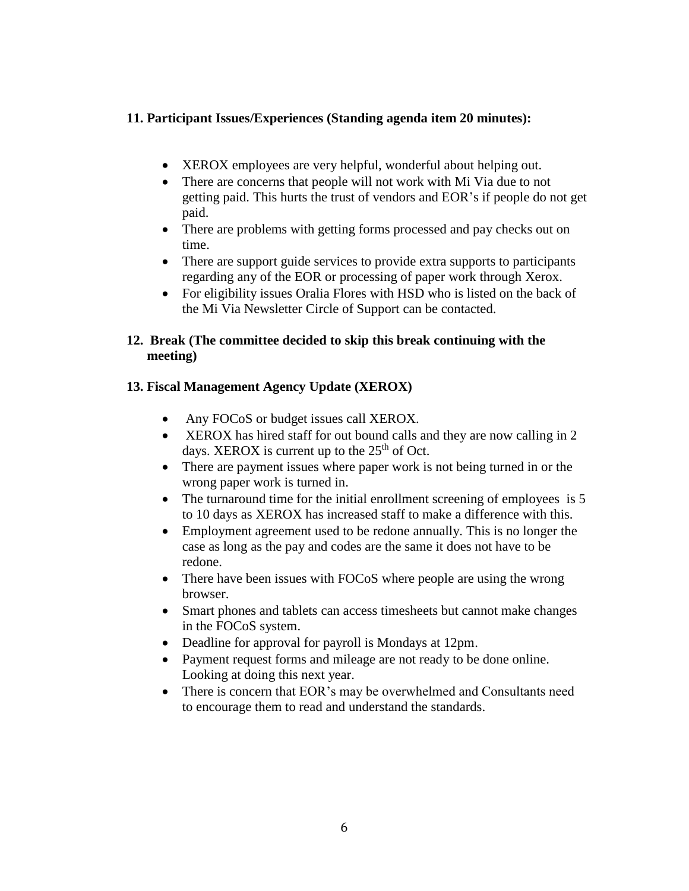#### **11. Participant Issues/Experiences (Standing agenda item 20 minutes):**

- XEROX employees are very helpful, wonderful about helping out.
- There are concerns that people will not work with Mi Via due to not getting paid. This hurts the trust of vendors and EOR's if people do not get paid.
- There are problems with getting forms processed and pay checks out on time.
- There are support guide services to provide extra supports to participants regarding any of the EOR or processing of paper work through Xerox.
- For eligibility issues Oralia Flores with HSD who is listed on the back of the Mi Via Newsletter Circle of Support can be contacted.

#### **12. Break (The committee decided to skip this break continuing with the meeting)**

#### **13. Fiscal Management Agency Update (XEROX)**

- Any FOCoS or budget issues call XEROX.
- XEROX has hired staff for out bound calls and they are now calling in 2 days. XEROX is current up to the  $25<sup>th</sup>$  of Oct.
- There are payment issues where paper work is not being turned in or the wrong paper work is turned in.
- The turnaround time for the initial enrollment screening of employees is 5 to 10 days as XEROX has increased staff to make a difference with this.
- Employment agreement used to be redone annually. This is no longer the case as long as the pay and codes are the same it does not have to be redone.
- There have been issues with FOCoS where people are using the wrong browser.
- Smart phones and tablets can access timesheets but cannot make changes in the FOCoS system.
- Deadline for approval for payroll is Mondays at 12pm.
- Payment request forms and mileage are not ready to be done online. Looking at doing this next year.
- There is concern that EOR's may be overwhelmed and Consultants need to encourage them to read and understand the standards.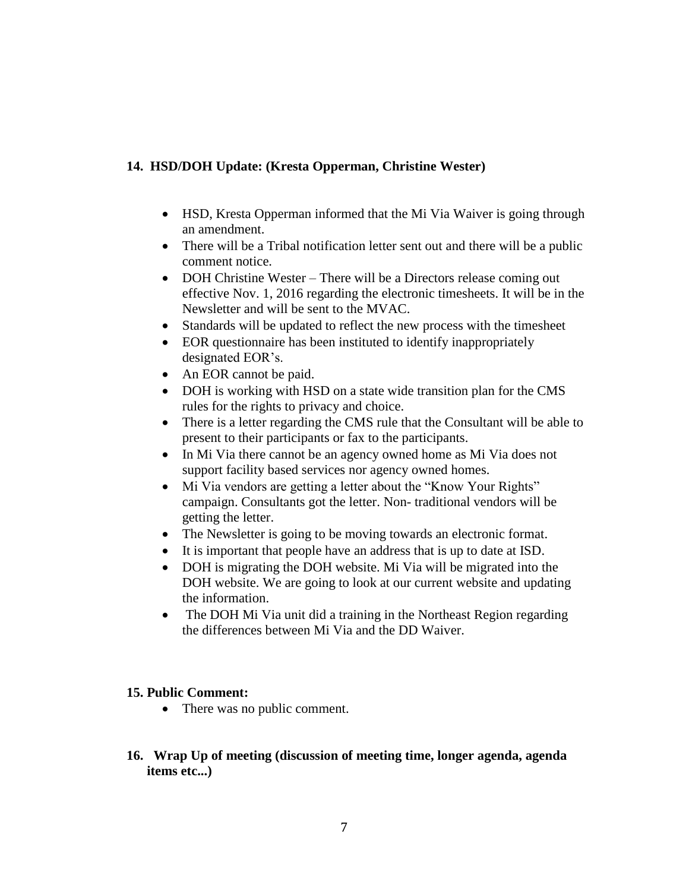## **14. HSD/DOH Update: (Kresta Opperman, Christine Wester)**

- HSD, Kresta Opperman informed that the Mi Via Waiver is going through an amendment.
- There will be a Tribal notification letter sent out and there will be a public comment notice.
- DOH Christine Wester There will be a Directors release coming out effective Nov. 1, 2016 regarding the electronic timesheets. It will be in the Newsletter and will be sent to the MVAC.
- Standards will be updated to reflect the new process with the timesheet
- EOR questionnaire has been instituted to identify inappropriately designated EOR's.
- An EOR cannot be paid.
- DOH is working with HSD on a state wide transition plan for the CMS rules for the rights to privacy and choice.
- There is a letter regarding the CMS rule that the Consultant will be able to present to their participants or fax to the participants.
- In Mi Via there cannot be an agency owned home as Mi Via does not support facility based services nor agency owned homes.
- Mi Via vendors are getting a letter about the "Know Your Rights" campaign. Consultants got the letter. Non- traditional vendors will be getting the letter.
- The Newsletter is going to be moving towards an electronic format.
- It is important that people have an address that is up to date at ISD.
- DOH is migrating the DOH website. Mi Via will be migrated into the DOH website. We are going to look at our current website and updating the information.
- The DOH Mi Via unit did a training in the Northeast Region regarding the differences between Mi Via and the DD Waiver.

#### **15. Public Comment:**

- There was no public comment.
- **16. Wrap Up of meeting (discussion of meeting time, longer agenda, agenda items etc...)**